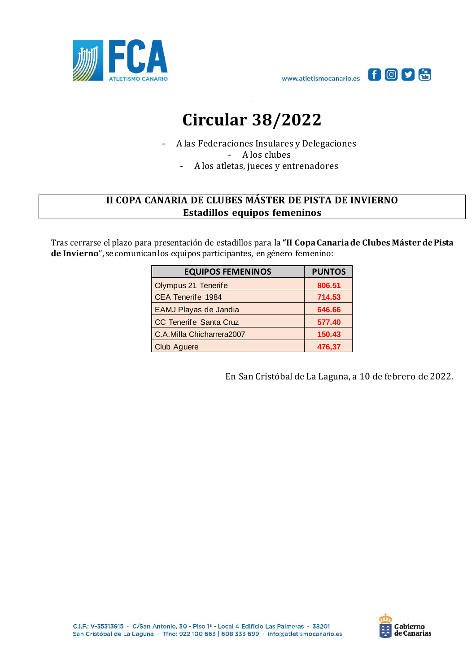



## **Circular 38/2022**

- A las Federaciones Insulares y Delegaciones - A los clubes

- A los atletas, jueces y entrenadores

## **II COPA CANARIA DE CLUBES MÁSTER DE PISTA DE INVIERNO Estadillos equipos femeninos**

Tras cerrarse el plazo para presentación de estadillos para la **"II Copa Canaria de Clubes Másterde Pista de Invierno**", se comunicanlos equipos participantes, en género femenino:

| <b>EQUIPOS FEMENINOS</b>  | <b>PUNTOS</b> |
|---------------------------|---------------|
| Olympus 21 Tenerife       | 806.51        |
| CEA Tenerife 1984         | 714.53        |
| EAMJ Playas de Jandia     | 646.66        |
| CC Tenerife Santa Cruz    | 577.40        |
| C.A.Milla Chicharrera2007 | 150.43        |
| Club Aguere               | 476.37        |

En San Cristóbal de La Laguna, a 10 de febrero de 2022.

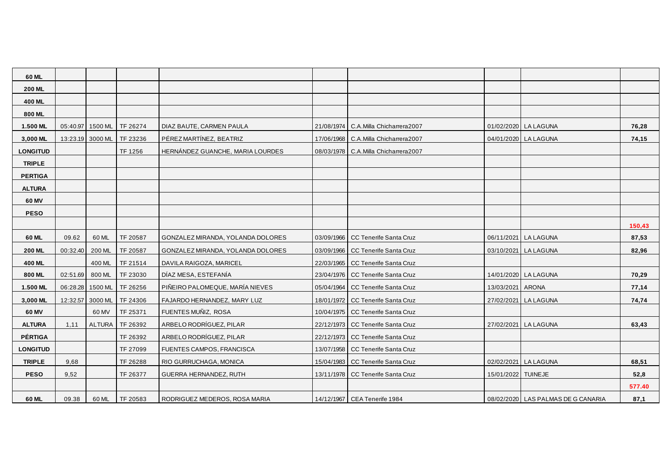| 60 ML           |                  |               |          |                                   |            |                                |                    |                                      |        |
|-----------------|------------------|---------------|----------|-----------------------------------|------------|--------------------------------|--------------------|--------------------------------------|--------|
| <b>200 ML</b>   |                  |               |          |                                   |            |                                |                    |                                      |        |
| 400 ML          |                  |               |          |                                   |            |                                |                    |                                      |        |
| 800 ML          |                  |               |          |                                   |            |                                |                    |                                      |        |
| 1.500 ML        | 05:40.97 1500 ML |               | TF 26274 | DIAZ BAUTE, CARMEN PAULA          | 21/08/1974 | C.A.Milla Chicharrera2007      |                    | 01/02/2020 LA LAGUNA                 | 76,28  |
| 3,000 ML        | 13:23.19 3000 ML |               | TF 23236 | PÉREZ MARTÍNEZ, BEATRIZ           | 17/06/1968 | C.A.Milla Chicharrera2007      |                    | 04/01/2020 LA LAGUNA                 | 74,15  |
| <b>LONGITUD</b> |                  |               | TF 1256  | HERNÁNDEZ GUANCHE, MARIA LOURDES  | 08/03/1978 | C.A.Milla Chicharrera2007      |                    |                                      |        |
| <b>TRIPLE</b>   |                  |               |          |                                   |            |                                |                    |                                      |        |
| <b>PERTIGA</b>  |                  |               |          |                                   |            |                                |                    |                                      |        |
| <b>ALTURA</b>   |                  |               |          |                                   |            |                                |                    |                                      |        |
| 60 MV           |                  |               |          |                                   |            |                                |                    |                                      |        |
| <b>PESO</b>     |                  |               |          |                                   |            |                                |                    |                                      |        |
|                 |                  |               |          |                                   |            |                                |                    |                                      | 150,43 |
| 60 ML           | 09.62            | 60 ML         | TF 20587 | GONZALEZ MIRANDA, YOLANDA DOLORES | 03/09/1966 | CC Tenerife Santa Cruz         |                    | 06/11/2021 LA LAGUNA                 | 87,53  |
| <b>200 ML</b>   | 00:32.40         | 200 ML        | TF 20587 | GONZALEZ MIRANDA, YOLANDA DOLORES | 03/09/1966 | CC Tenerife Santa Cruz         |                    | 03/10/2021 LA LAGUNA                 | 82,96  |
| 400 ML          |                  | 400 ML        | TF 21514 | DAVILA RAIGOZA, MARICEL           | 22/03/1965 | CC Tenerife Santa Cruz         |                    |                                      |        |
| 800 ML          | 02:51.69         | 800 ML        | TF 23030 | DÍAZ MESA, ESTEFANÍA              | 23/04/1976 | CC Tenerife Santa Cruz         |                    | 14/01/2020 LA LAGUNA                 | 70,29  |
| 1.500 ML        | 06:28.28 1500 ML |               | TF 26256 | PIÑEIRO PALOMEQUE, MARÍA NIEVES   | 05/04/1964 | CC Tenerife Santa Cruz         | 13/03/2021         | <b>ARONA</b>                         | 77,14  |
| 3,000 ML        | 12:32.57 3000 ML |               | TF 24306 | FAJARDO HERNANDEZ, MARY LUZ       | 18/01/1972 | CC Tenerife Santa Cruz         |                    | 27/02/2021 LA LAGUNA                 | 74,74  |
| 60 MV           |                  | 60 MV         | TF 25371 | FUENTES MUÑIZ, ROSA               | 10/04/1975 | CC Tenerife Santa Cruz         |                    |                                      |        |
| <b>ALTURA</b>   | 1,11             | <b>ALTURA</b> | TF 26392 | ARBELO RODRÍGUEZ, PILAR           | 22/12/1973 | CC Tenerife Santa Cruz         |                    | 27/02/2021 LA LAGUNA                 | 63,43  |
| <b>PÉRTIGA</b>  |                  |               | TF 26392 | ARBELO RODRÍGUEZ, PILAR           | 22/12/1973 | CC Tenerife Santa Cruz         |                    |                                      |        |
| <b>LONGITUD</b> |                  |               | TF 27099 | FUENTES CAMPOS, FRANCISCA         | 13/07/1958 | CC Tenerife Santa Cruz         |                    |                                      |        |
| <b>TRIPLE</b>   | 9,68             |               | TF 26288 | RIO GURRUCHAGA, MONICA            | 15/04/1983 | CC Tenerife Santa Cruz         |                    | 02/02/2021 LA LAGUNA                 | 68,51  |
| <b>PESO</b>     | 9,52             |               | TF 26377 | GUERRA HERNANDEZ, RUTH            | 13/11/1978 | CC Tenerife Santa Cruz         | 15/01/2022 TUINEJE |                                      | 52,8   |
|                 |                  |               |          |                                   |            |                                |                    |                                      | 577.40 |
| 60 ML           | 09.38            | 60 ML         | TF 20583 | RODRIGUEZ MEDEROS, ROSA MARIA     |            | 14/12/1967   CEA Tenerife 1984 |                    | 08/02/2020   LAS PALMAS DE G CANARIA | 87,1   |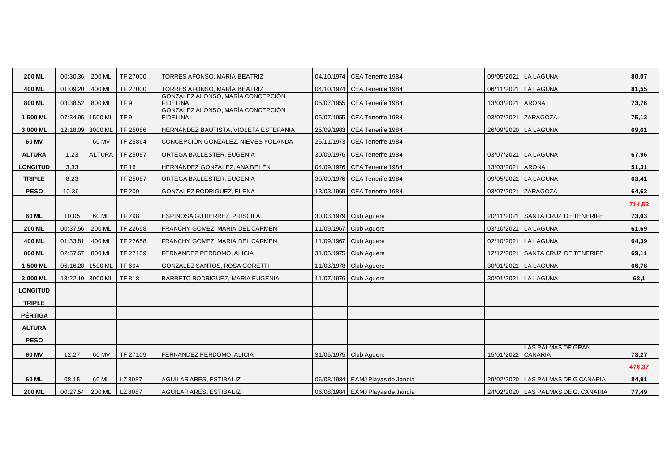| <b>200 ML</b>   | 00:30.36 | 200 ML           | TF 27000        | TORRES AFONSO, MARÍA BEATRIZ                         |            | 04/10/1974 CEA Tenerife 1984       |                    | 09/05/2021 LA LAGUNA                | 80,07  |
|-----------------|----------|------------------|-----------------|------------------------------------------------------|------------|------------------------------------|--------------------|-------------------------------------|--------|
| 400 ML          | 01:09.20 | 400 ML           | TF 27000        | TORRES AFONSO, MARÍA BEATRIZ                         |            | 04/10/1974   CEA Tenerife 1984     |                    | 06/11/2021 LA LAGUNA                | 81,55  |
| 800 ML          | 03:38.52 | 800 ML           | TF <sub>9</sub> | GONZALEZ ALONSO, MARÍA CONCEPCIÓN<br><b>FIDELINA</b> |            | 05/07/1955 CEA Tenerife 1984       | 13/03/2021 ARONA   |                                     | 73,76  |
| 1,500 ML        |          | 07:34.95 1500 ML | TF <sub>9</sub> | GONZALEZ ALONSO, MARIA CONCEPCION<br><b>FIDELINA</b> |            | 05/07/1955   CEA Tenerife 1984     |                    | 03/07/2021 ZARAGOZA                 | 75,13  |
| 3,000 ML        |          | 12:18.09 3000 ML | TF 25086        | HERNANDEZ BAUTISTA, VIOLETA ESTEFANIA                | 25/09/1983 | CEA Tenerife 1984                  |                    | 26/09/2020 LA LAGUNA                | 69,61  |
| 60 MV           |          | 60 MV            | TF 25864        | CONCEPCIÓN GONZÁLEZ. NIEVES YOLANDA                  |            | 25/11/1973   CEA Tenerife 1984     |                    |                                     |        |
| <b>ALTURA</b>   | 1.23     | <b>ALTURA</b>    | TF 25087        | ORTEGA BALLESTER, EUGENIA                            |            | 30/09/1976   CEA Tenerife 1984     |                    | 03/07/2021 LA LAGUNA                | 67.96  |
| <b>LONGITUD</b> | 3,33     |                  | <b>TF 16</b>    | HERNÁNDEZ GONZÁLEZ. ANA BELÉN                        |            | 04/09/1976 CEA Tenerife 1984       | 13/03/2021 ARONA   |                                     | 51,31  |
| <b>TRIPLE</b>   | 8,23     |                  | TF 25087        | ORTEGA BALLESTER, EUGENIA                            | 30/09/1976 | CEA Tenerife 1984                  |                    | 09/05/2021 LA LAGUNA                | 63,41  |
| <b>PESO</b>     | 10,36    |                  | <b>TF 209</b>   | GONZALEZ RODRIGUEZ, ELENA                            |            | 13/03/1969   CEA Tenerife 1984     |                    | 03/07/2021 ZARAGOZA                 | 64,63  |
|                 |          |                  |                 |                                                      |            |                                    |                    |                                     | 714,53 |
| 60 ML           | 10.05    | 60 ML            | <b>TF 798</b>   | ESPINOSA GUTIERREZ, PRISCILA                         |            | 30/03/1979   Club Aguere           |                    | 20/11/2021 SANTA CRUZ DE TENERIFE   | 73,03  |
| <b>200 ML</b>   | 00:37.56 | 200 ML           | TF 22658        | FRANCHY GOMEZ, MARIA DEL CARMEN                      |            | 11/09/1967   Club Aguere           |                    | 03/10/2021 LA LAGUNA                | 61,69  |
| 400 ML          | 01:33.81 | 400 ML           | TF 22658        | FRANCHY GOMEZ, MARIA DEL CARMEN                      |            | 11/09/1967   Club Aguere           |                    | 02/10/2021 LA LAGUNA                | 64,39  |
| 800 ML          | 02:57.67 | 800 ML           | TF 27109        | FERNANDEZ PERDOMO, ALICIA                            |            | 31/05/1975   Club Aguere           |                    | 12/12/2021 SANTA CRUZ DE TENERIFE   | 69,11  |
| 1,500 ML        |          | 06:16.28 1500 ML | TF 694          | GONZALEZ SANTOS, ROSA GORETTI                        |            | 11/03/1978   Club Aquere           |                    | 30/01/2021 LA LAGUNA                | 66,78  |
| 3.000 ML        |          | 13:22.10 3000 ML | <b>TF 818</b>   | BARRETO RODRIGUEZ, MARIA EUGENIA                     |            | 11/07/1976   Club Aguere           |                    | 30/01/2021 LA LAGUNA                | 68,1   |
| <b>LONGITUD</b> |          |                  |                 |                                                      |            |                                    |                    |                                     |        |
| <b>TRIPLE</b>   |          |                  |                 |                                                      |            |                                    |                    |                                     |        |
| <b>PÉRTIGA</b>  |          |                  |                 |                                                      |            |                                    |                    |                                     |        |
| <b>ALTURA</b>   |          |                  |                 |                                                      |            |                                    |                    |                                     |        |
| <b>PESO</b>     |          |                  |                 |                                                      |            |                                    |                    |                                     |        |
| 60 MV           | 12.27    | 60 MV            | TF 27109        | FERNANDEZ PERDOMO, ALICIA                            |            | 31/05/1975   Club Aquere           | 15/01/2022 CANARIA | LAS PALMAS DE GRAN                  | 73,27  |
|                 |          |                  |                 |                                                      |            |                                    |                    |                                     | 476,37 |
| 60 ML           | 08.15    | 60 ML            | LZ8087          | AGUILAR ARES, ESTIBALIZ                              |            | 06/08/1984 EAMJ Playas de Jandia   |                    | 29/02/2020 LAS PALMAS DE G CANARIA  | 84,91  |
| <b>200 ML</b>   | 00:27.54 | 200 ML           | LZ8087          | <b>AGUILAR ARES, ESTIBALIZ</b>                       |            | 06/08/1984   EAMJ Playas de Jandia |                    | 24/02/2020 LAS PALMAS DE G. CANARIA | 77,49  |